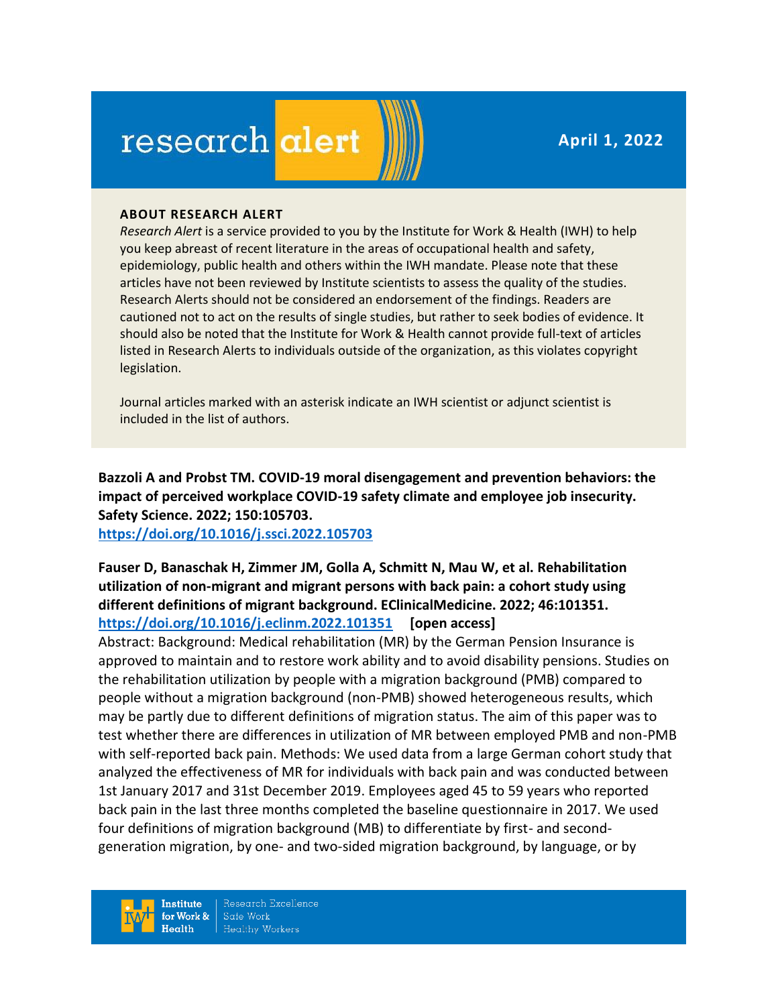**April 1, 2022**

# research alert

#### **ABOUT RESEARCH ALERT**

*Research Alert* is a service provided to you by the Institute for Work & Health (IWH) to help you keep abreast of recent literature in the areas of occupational health and safety, epidemiology, public health and others within the IWH mandate. Please note that these articles have not been reviewed by Institute scientists to assess the quality of the studies. Research Alerts should not be considered an endorsement of the findings. Readers are cautioned not to act on the results of single studies, but rather to seek bodies of evidence. It should also be noted that the Institute for Work & Health cannot provide full-text of articles listed in Research Alerts to individuals outside of the organization, as this violates copyright legislation.

Journal articles marked with an asterisk indicate an IWH scientist or adjunct scientist is included in the list of authors.

**Bazzoli A and Probst TM. COVID-19 moral disengagement and prevention behaviors: the impact of perceived workplace COVID-19 safety climate and employee job insecurity. Safety Science. 2022; 150:105703.**

**<https://doi.org/10.1016/j.ssci.2022.105703>** 

# **Fauser D, Banaschak H, Zimmer JM, Golla A, Schmitt N, Mau W, et al. Rehabilitation utilization of non-migrant and migrant persons with back pain: a cohort study using different definitions of migrant background. EClinicalMedicine. 2022; 46:101351. <https://doi.org/10.1016/j.eclinm.2022.101351> [open access]**

Abstract: Background: Medical rehabilitation (MR) by the German Pension Insurance is approved to maintain and to restore work ability and to avoid disability pensions. Studies on the rehabilitation utilization by people with a migration background (PMB) compared to people without a migration background (non-PMB) showed heterogeneous results, which may be partly due to different definitions of migration status. The aim of this paper was to test whether there are differences in utilization of MR between employed PMB and non-PMB with self-reported back pain. Methods: We used data from a large German cohort study that analyzed the effectiveness of MR for individuals with back pain and was conducted between 1st January 2017 and 31st December 2019. Employees aged 45 to 59 years who reported back pain in the last three months completed the baseline questionnaire in 2017. We used four definitions of migration background (MB) to differentiate by first- and secondgeneration migration, by one- and two-sided migration background, by language, or by

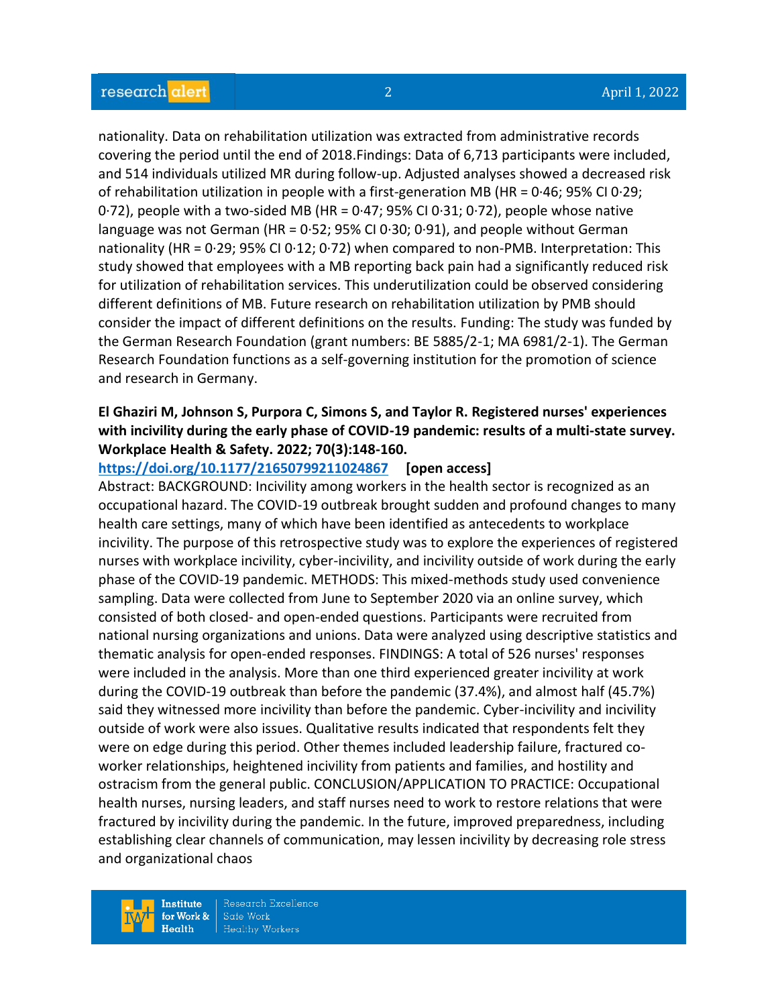nationality. Data on rehabilitation utilization was extracted from administrative records covering the period until the end of 2018.Findings: Data of 6,713 participants were included, and 514 individuals utilized MR during follow-up. Adjusted analyses showed a decreased risk of rehabilitation utilization in people with a first-generation MB (HR = 0·46; 95% CI 0·29;  $0.72$ ), people with a two-sided MB (HR =  $0.47$ ; 95% CI  $0.31$ ;  $0.72$ ), people whose native language was not German (HR = 0·52; 95% CI 0·30; 0·91), and people without German nationality (HR = 0·29; 95% CI 0·12; 0·72) when compared to non-PMB. Interpretation: This study showed that employees with a MB reporting back pain had a significantly reduced risk for utilization of rehabilitation services. This underutilization could be observed considering different definitions of MB. Future research on rehabilitation utilization by PMB should consider the impact of different definitions on the results. Funding: The study was funded by the German Research Foundation (grant numbers: BE 5885/2-1; MA 6981/2-1). The German Research Foundation functions as a self-governing institution for the promotion of science and research in Germany.

# **El Ghaziri M, Johnson S, Purpora C, Simons S, and Taylor R. Registered nurses' experiences with incivility during the early phase of COVID-19 pandemic: results of a multi-state survey. Workplace Health & Safety. 2022; 70(3):148-160.**

### **<https://doi.org/10.1177/21650799211024867> [open access]**

Abstract: BACKGROUND: Incivility among workers in the health sector is recognized as an occupational hazard. The COVID-19 outbreak brought sudden and profound changes to many health care settings, many of which have been identified as antecedents to workplace incivility. The purpose of this retrospective study was to explore the experiences of registered nurses with workplace incivility, cyber-incivility, and incivility outside of work during the early phase of the COVID-19 pandemic. METHODS: This mixed-methods study used convenience sampling. Data were collected from June to September 2020 via an online survey, which consisted of both closed- and open-ended questions. Participants were recruited from national nursing organizations and unions. Data were analyzed using descriptive statistics and thematic analysis for open-ended responses. FINDINGS: A total of 526 nurses' responses were included in the analysis. More than one third experienced greater incivility at work during the COVID-19 outbreak than before the pandemic (37.4%), and almost half (45.7%) said they witnessed more incivility than before the pandemic. Cyber-incivility and incivility outside of work were also issues. Qualitative results indicated that respondents felt they were on edge during this period. Other themes included leadership failure, fractured coworker relationships, heightened incivility from patients and families, and hostility and ostracism from the general public. CONCLUSION/APPLICATION TO PRACTICE: Occupational health nurses, nursing leaders, and staff nurses need to work to restore relations that were fractured by incivility during the pandemic. In the future, improved preparedness, including establishing clear channels of communication, may lessen incivility by decreasing role stress and organizational chaos

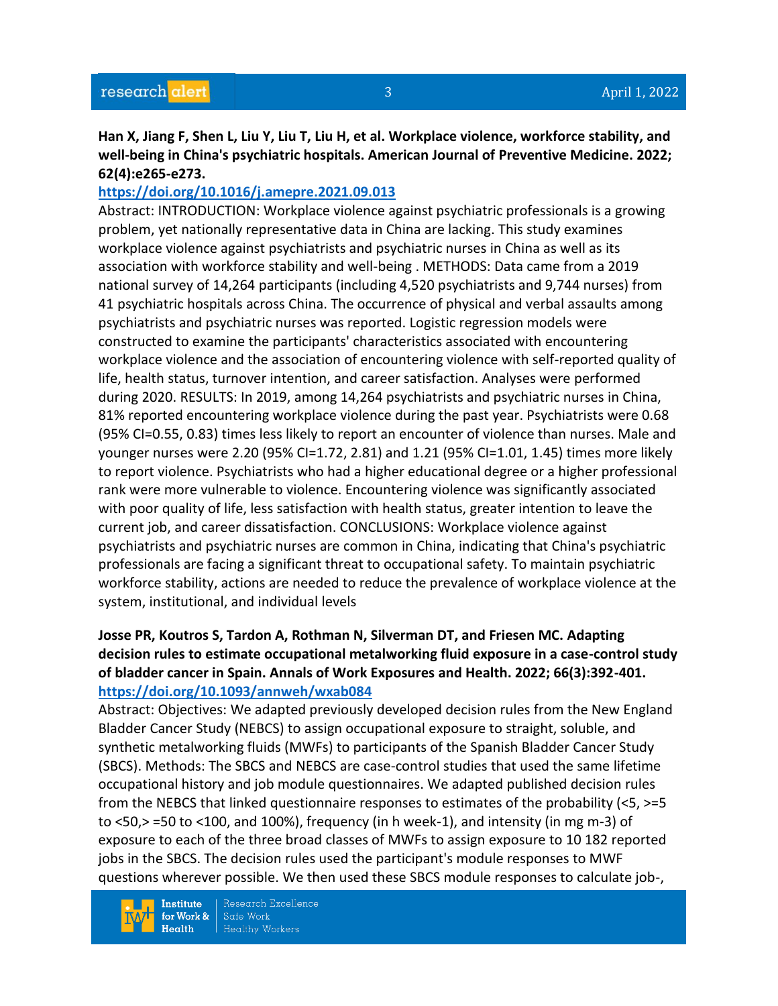**Han X, Jiang F, Shen L, Liu Y, Liu T, Liu H, et al. Workplace violence, workforce stability, and well-being in China's psychiatric hospitals. American Journal of Preventive Medicine. 2022; 62(4):e265-e273.** 

## **<https://doi.org/10.1016/j.amepre.2021.09.013>**

Abstract: INTRODUCTION: Workplace violence against psychiatric professionals is a growing problem, yet nationally representative data in China are lacking. This study examines workplace violence against psychiatrists and psychiatric nurses in China as well as its association with workforce stability and well-being . METHODS: Data came from a 2019 national survey of 14,264 participants (including 4,520 psychiatrists and 9,744 nurses) from 41 psychiatric hospitals across China. The occurrence of physical and verbal assaults among psychiatrists and psychiatric nurses was reported. Logistic regression models were constructed to examine the participants' characteristics associated with encountering workplace violence and the association of encountering violence with self-reported quality of life, health status, turnover intention, and career satisfaction. Analyses were performed during 2020. RESULTS: In 2019, among 14,264 psychiatrists and psychiatric nurses in China, 81% reported encountering workplace violence during the past year. Psychiatrists were 0.68 (95% CI=0.55, 0.83) times less likely to report an encounter of violence than nurses. Male and younger nurses were 2.20 (95% CI=1.72, 2.81) and 1.21 (95% CI=1.01, 1.45) times more likely to report violence. Psychiatrists who had a higher educational degree or a higher professional rank were more vulnerable to violence. Encountering violence was significantly associated with poor quality of life, less satisfaction with health status, greater intention to leave the current job, and career dissatisfaction. CONCLUSIONS: Workplace violence against psychiatrists and psychiatric nurses are common in China, indicating that China's psychiatric professionals are facing a significant threat to occupational safety. To maintain psychiatric workforce stability, actions are needed to reduce the prevalence of workplace violence at the system, institutional, and individual levels

# **Josse PR, Koutros S, Tardon A, Rothman N, Silverman DT, and Friesen MC. Adapting decision rules to estimate occupational metalworking fluid exposure in a case-control study of bladder cancer in Spain. Annals of Work Exposures and Health. 2022; 66(3):392-401. <https://doi.org/10.1093/annweh/wxab084>**

Abstract: Objectives: We adapted previously developed decision rules from the New England Bladder Cancer Study (NEBCS) to assign occupational exposure to straight, soluble, and synthetic metalworking fluids (MWFs) to participants of the Spanish Bladder Cancer Study (SBCS). Methods: The SBCS and NEBCS are case-control studies that used the same lifetime occupational history and job module questionnaires. We adapted published decision rules from the NEBCS that linked questionnaire responses to estimates of the probability (<5, >=5 to <50,> =50 to <100, and 100%), frequency (in h week-1), and intensity (in mg m-3) of exposure to each of the three broad classes of MWFs to assign exposure to 10 182 reported jobs in the SBCS. The decision rules used the participant's module responses to MWF questions wherever possible. We then used these SBCS module responses to calculate job-,

**Institute** for Work &  $Health$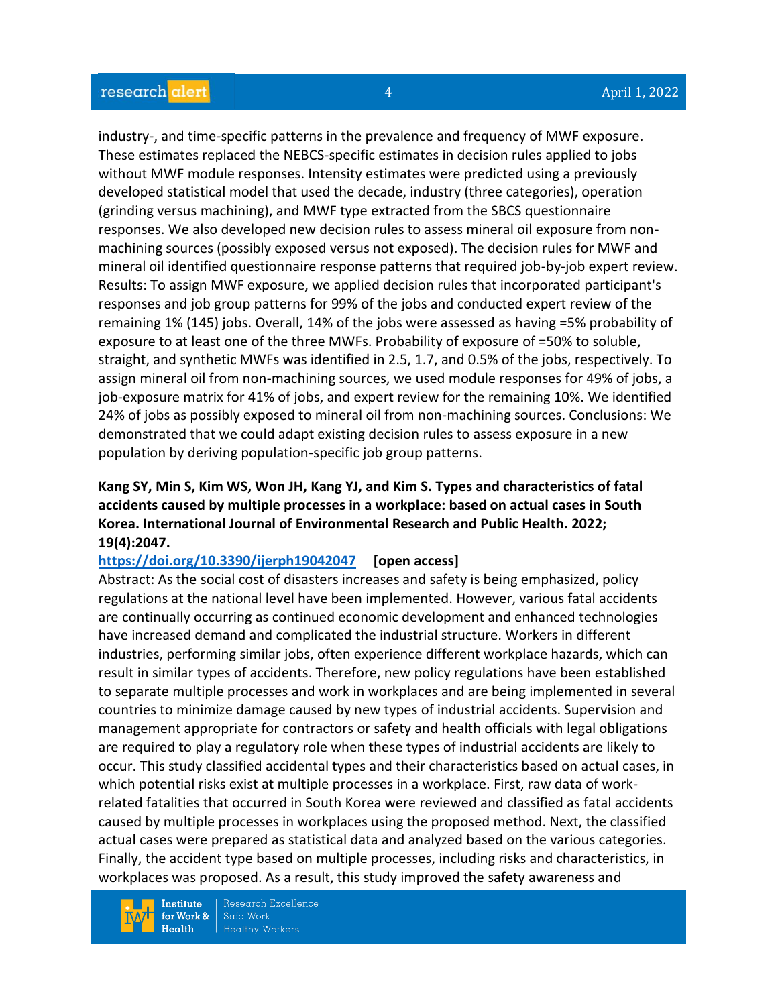industry-, and time-specific patterns in the prevalence and frequency of MWF exposure. These estimates replaced the NEBCS-specific estimates in decision rules applied to jobs without MWF module responses. Intensity estimates were predicted using a previously developed statistical model that used the decade, industry (three categories), operation (grinding versus machining), and MWF type extracted from the SBCS questionnaire responses. We also developed new decision rules to assess mineral oil exposure from nonmachining sources (possibly exposed versus not exposed). The decision rules for MWF and mineral oil identified questionnaire response patterns that required job-by-job expert review. Results: To assign MWF exposure, we applied decision rules that incorporated participant's responses and job group patterns for 99% of the jobs and conducted expert review of the remaining 1% (145) jobs. Overall, 14% of the jobs were assessed as having =5% probability of exposure to at least one of the three MWFs. Probability of exposure of =50% to soluble, straight, and synthetic MWFs was identified in 2.5, 1.7, and 0.5% of the jobs, respectively. To assign mineral oil from non-machining sources, we used module responses for 49% of jobs, a job-exposure matrix for 41% of jobs, and expert review for the remaining 10%. We identified 24% of jobs as possibly exposed to mineral oil from non-machining sources. Conclusions: We demonstrated that we could adapt existing decision rules to assess exposure in a new population by deriving population-specific job group patterns.

## **Kang SY, Min S, Kim WS, Won JH, Kang YJ, and Kim S. Types and characteristics of fatal accidents caused by multiple processes in a workplace: based on actual cases in South Korea. International Journal of Environmental Research and Public Health. 2022; 19(4):2047.**

### **<https://doi.org/10.3390/ijerph19042047> [open access]**

Abstract: As the social cost of disasters increases and safety is being emphasized, policy regulations at the national level have been implemented. However, various fatal accidents are continually occurring as continued economic development and enhanced technologies have increased demand and complicated the industrial structure. Workers in different industries, performing similar jobs, often experience different workplace hazards, which can result in similar types of accidents. Therefore, new policy regulations have been established to separate multiple processes and work in workplaces and are being implemented in several countries to minimize damage caused by new types of industrial accidents. Supervision and management appropriate for contractors or safety and health officials with legal obligations are required to play a regulatory role when these types of industrial accidents are likely to occur. This study classified accidental types and their characteristics based on actual cases, in which potential risks exist at multiple processes in a workplace. First, raw data of workrelated fatalities that occurred in South Korea were reviewed and classified as fatal accidents caused by multiple processes in workplaces using the proposed method. Next, the classified actual cases were prepared as statistical data and analyzed based on the various categories. Finally, the accident type based on multiple processes, including risks and characteristics, in workplaces was proposed. As a result, this study improved the safety awareness and

**Institute** for Work &  $Health$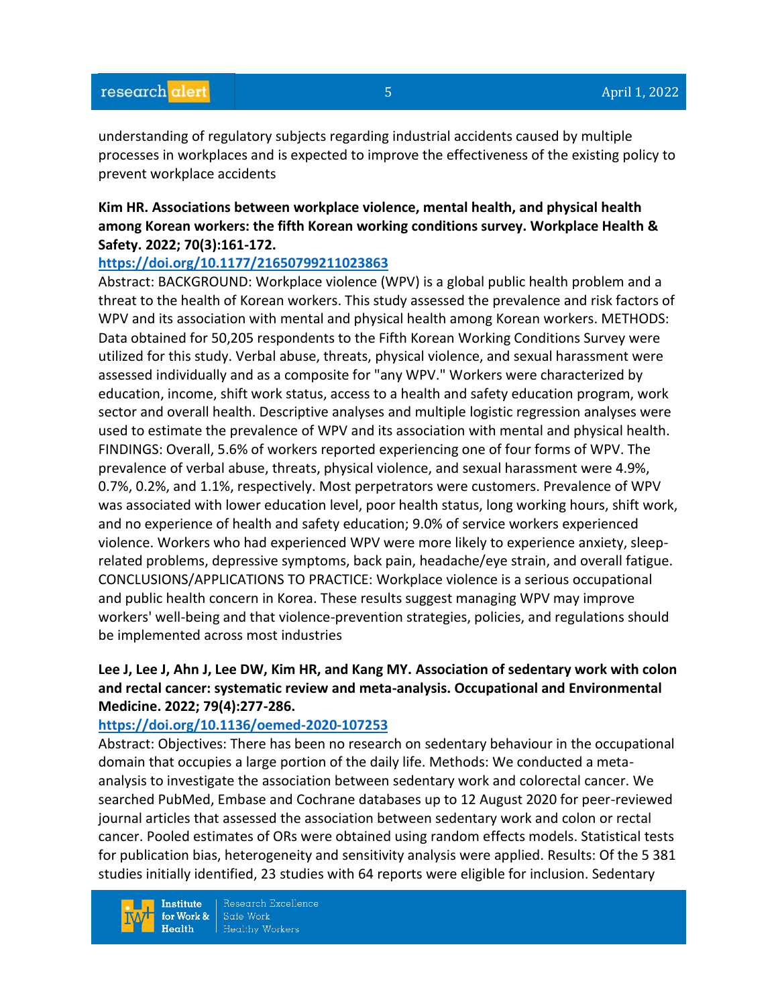understanding of regulatory subjects regarding industrial accidents caused by multiple processes in workplaces and is expected to improve the effectiveness of the existing policy to prevent workplace accidents

# **Kim HR. Associations between workplace violence, mental health, and physical health among Korean workers: the fifth Korean working conditions survey. Workplace Health & Safety. 2022; 70(3):161-172.**

## **<https://doi.org/10.1177/21650799211023863>**

Abstract: BACKGROUND: Workplace violence (WPV) is a global public health problem and a threat to the health of Korean workers. This study assessed the prevalence and risk factors of WPV and its association with mental and physical health among Korean workers. METHODS: Data obtained for 50,205 respondents to the Fifth Korean Working Conditions Survey were utilized for this study. Verbal abuse, threats, physical violence, and sexual harassment were assessed individually and as a composite for "any WPV." Workers were characterized by education, income, shift work status, access to a health and safety education program, work sector and overall health. Descriptive analyses and multiple logistic regression analyses were used to estimate the prevalence of WPV and its association with mental and physical health. FINDINGS: Overall, 5.6% of workers reported experiencing one of four forms of WPV. The prevalence of verbal abuse, threats, physical violence, and sexual harassment were 4.9%, 0.7%, 0.2%, and 1.1%, respectively. Most perpetrators were customers. Prevalence of WPV was associated with lower education level, poor health status, long working hours, shift work, and no experience of health and safety education; 9.0% of service workers experienced violence. Workers who had experienced WPV were more likely to experience anxiety, sleeprelated problems, depressive symptoms, back pain, headache/eye strain, and overall fatigue. CONCLUSIONS/APPLICATIONS TO PRACTICE: Workplace violence is a serious occupational and public health concern in Korea. These results suggest managing WPV may improve workers' well-being and that violence-prevention strategies, policies, and regulations should be implemented across most industries

# **Lee J, Lee J, Ahn J, Lee DW, Kim HR, and Kang MY. Association of sedentary work with colon and rectal cancer: systematic review and meta-analysis. Occupational and Environmental Medicine. 2022; 79(4):277-286.**

### **<https://doi.org/10.1136/oemed-2020-107253>**

Abstract: Objectives: There has been no research on sedentary behaviour in the occupational domain that occupies a large portion of the daily life. Methods: We conducted a metaanalysis to investigate the association between sedentary work and colorectal cancer. We searched PubMed, Embase and Cochrane databases up to 12 August 2020 for peer-reviewed journal articles that assessed the association between sedentary work and colon or rectal cancer. Pooled estimates of ORs were obtained using random effects models. Statistical tests for publication bias, heterogeneity and sensitivity analysis were applied. Results: Of the 5 381 studies initially identified, 23 studies with 64 reports were eligible for inclusion. Sedentary

**Institute** for Work &  $Health$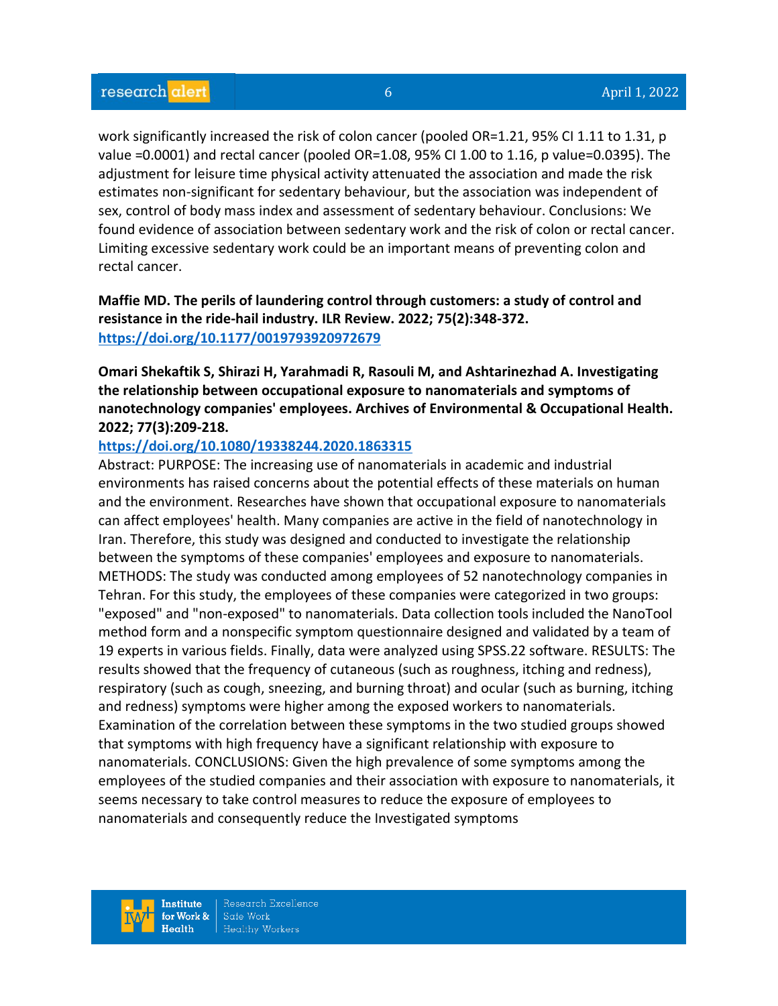work significantly increased the risk of colon cancer (pooled OR=1.21, 95% CI 1.11 to 1.31, p value =0.0001) and rectal cancer (pooled OR=1.08, 95% CI 1.00 to 1.16, p value=0.0395). The adjustment for leisure time physical activity attenuated the association and made the risk estimates non-significant for sedentary behaviour, but the association was independent of sex, control of body mass index and assessment of sedentary behaviour. Conclusions: We found evidence of association between sedentary work and the risk of colon or rectal cancer. Limiting excessive sedentary work could be an important means of preventing colon and rectal cancer.

# **Maffie MD. The perils of laundering control through customers: a study of control and resistance in the ride-hail industry. ILR Review. 2022; 75(2):348-372. <https://doi.org/10.1177/0019793920972679>**

**Omari Shekaftik S, Shirazi H, Yarahmadi R, Rasouli M, and Ashtarinezhad A. Investigating the relationship between occupational exposure to nanomaterials and symptoms of nanotechnology companies' employees. Archives of Environmental & Occupational Health. 2022; 77(3):209-218.** 

### **<https://doi.org/10.1080/19338244.2020.1863315>**

Abstract: PURPOSE: The increasing use of nanomaterials in academic and industrial environments has raised concerns about the potential effects of these materials on human and the environment. Researches have shown that occupational exposure to nanomaterials can affect employees' health. Many companies are active in the field of nanotechnology in Iran. Therefore, this study was designed and conducted to investigate the relationship between the symptoms of these companies' employees and exposure to nanomaterials. METHODS: The study was conducted among employees of 52 nanotechnology companies in Tehran. For this study, the employees of these companies were categorized in two groups: "exposed" and "non-exposed" to nanomaterials. Data collection tools included the NanoTool method form and a nonspecific symptom questionnaire designed and validated by a team of 19 experts in various fields. Finally, data were analyzed using SPSS.22 software. RESULTS: The results showed that the frequency of cutaneous (such as roughness, itching and redness), respiratory (such as cough, sneezing, and burning throat) and ocular (such as burning, itching and redness) symptoms were higher among the exposed workers to nanomaterials. Examination of the correlation between these symptoms in the two studied groups showed that symptoms with high frequency have a significant relationship with exposure to nanomaterials. CONCLUSIONS: Given the high prevalence of some symptoms among the employees of the studied companies and their association with exposure to nanomaterials, it seems necessary to take control measures to reduce the exposure of employees to nanomaterials and consequently reduce the Investigated symptoms

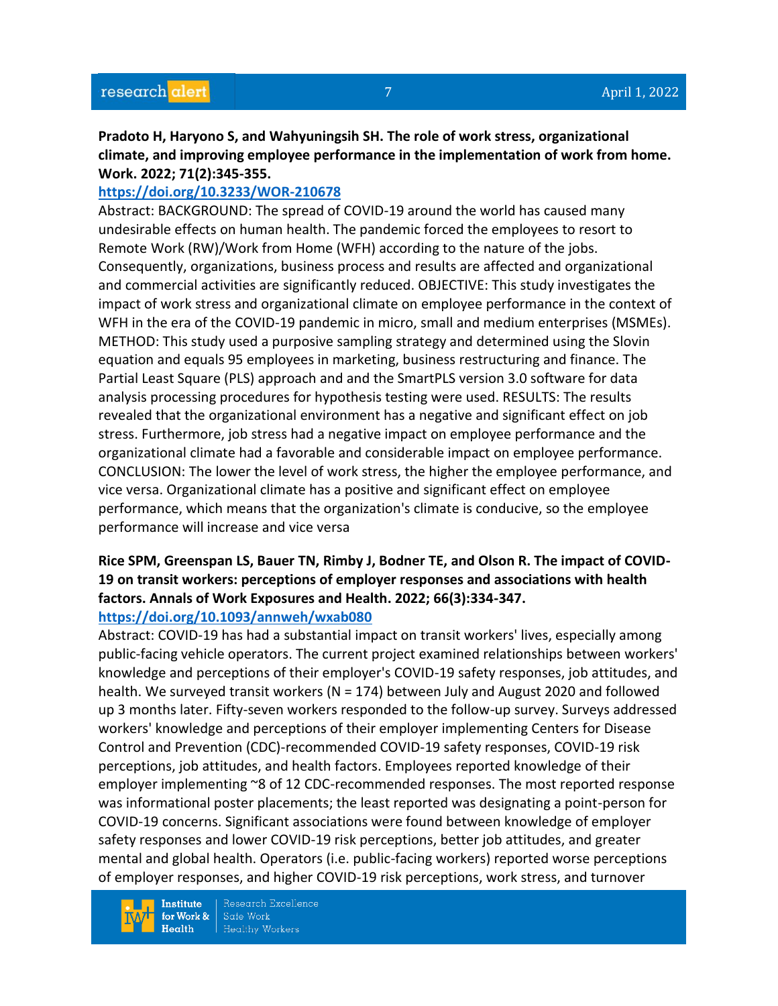**Pradoto H, Haryono S, and Wahyuningsih SH. The role of work stress, organizational climate, and improving employee performance in the implementation of work from home. Work. 2022; 71(2):345-355.** 

## **<https://doi.org/10.3233/WOR-210678>**

Abstract: BACKGROUND: The spread of COVID-19 around the world has caused many undesirable effects on human health. The pandemic forced the employees to resort to Remote Work (RW)/Work from Home (WFH) according to the nature of the jobs. Consequently, organizations, business process and results are affected and organizational and commercial activities are significantly reduced. OBJECTIVE: This study investigates the impact of work stress and organizational climate on employee performance in the context of WFH in the era of the COVID-19 pandemic in micro, small and medium enterprises (MSMEs). METHOD: This study used a purposive sampling strategy and determined using the Slovin equation and equals 95 employees in marketing, business restructuring and finance. The Partial Least Square (PLS) approach and and the SmartPLS version 3.0 software for data analysis processing procedures for hypothesis testing were used. RESULTS: The results revealed that the organizational environment has a negative and significant effect on job stress. Furthermore, job stress had a negative impact on employee performance and the organizational climate had a favorable and considerable impact on employee performance. CONCLUSION: The lower the level of work stress, the higher the employee performance, and vice versa. Organizational climate has a positive and significant effect on employee performance, which means that the organization's climate is conducive, so the employee performance will increase and vice versa

# **Rice SPM, Greenspan LS, Bauer TN, Rimby J, Bodner TE, and Olson R. The impact of COVID-19 on transit workers: perceptions of employer responses and associations with health factors. Annals of Work Exposures and Health. 2022; 66(3):334-347.**

### **<https://doi.org/10.1093/annweh/wxab080>**

Abstract: COVID-19 has had a substantial impact on transit workers' lives, especially among public-facing vehicle operators. The current project examined relationships between workers' knowledge and perceptions of their employer's COVID-19 safety responses, job attitudes, and health. We surveyed transit workers (N = 174) between July and August 2020 and followed up 3 months later. Fifty-seven workers responded to the follow-up survey. Surveys addressed workers' knowledge and perceptions of their employer implementing Centers for Disease Control and Prevention (CDC)-recommended COVID-19 safety responses, COVID-19 risk perceptions, job attitudes, and health factors. Employees reported knowledge of their employer implementing ~8 of 12 CDC-recommended responses. The most reported response was informational poster placements; the least reported was designating a point-person for COVID-19 concerns. Significant associations were found between knowledge of employer safety responses and lower COVID-19 risk perceptions, better job attitudes, and greater mental and global health. Operators (i.e. public-facing workers) reported worse perceptions of employer responses, and higher COVID-19 risk perceptions, work stress, and turnover

**Institute** for Work &  $Health$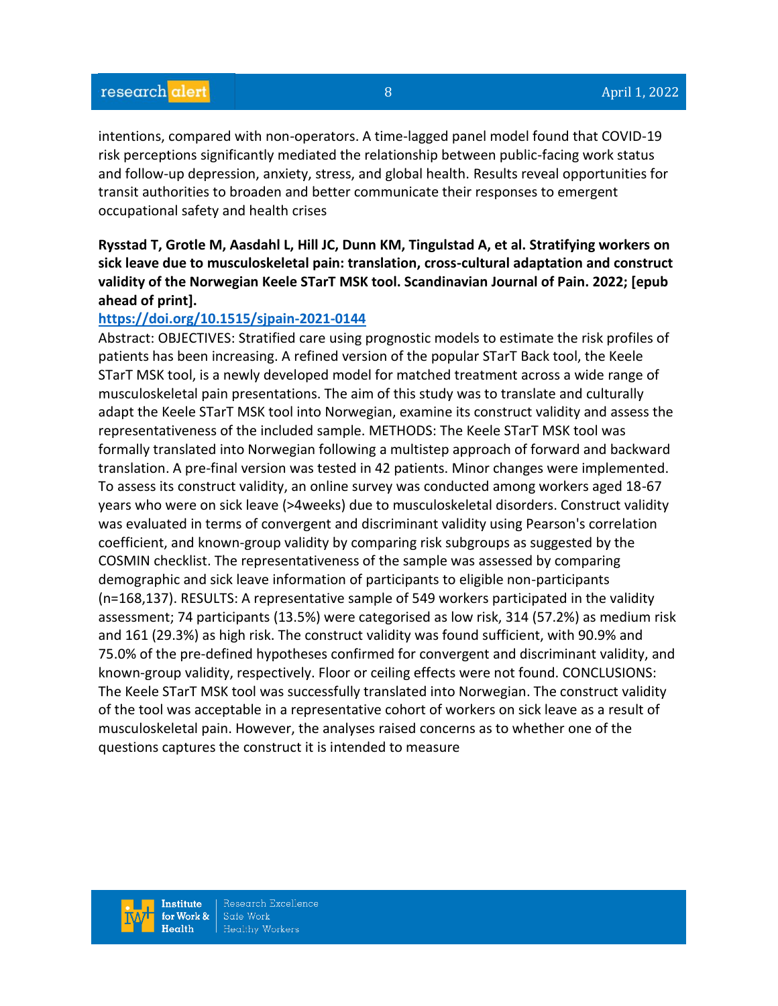intentions, compared with non-operators. A time-lagged panel model found that COVID-19 risk perceptions significantly mediated the relationship between public-facing work status and follow-up depression, anxiety, stress, and global health. Results reveal opportunities for transit authorities to broaden and better communicate their responses to emergent occupational safety and health crises

**Rysstad T, Grotle M, Aasdahl L, Hill JC, Dunn KM, Tingulstad A, et al. Stratifying workers on sick leave due to musculoskeletal pain: translation, cross-cultural adaptation and construct validity of the Norwegian Keele STarT MSK tool. Scandinavian Journal of Pain. 2022; [epub ahead of print].**

## **<https://doi.org/10.1515/sjpain-2021-0144>**

Abstract: OBJECTIVES: Stratified care using prognostic models to estimate the risk profiles of patients has been increasing. A refined version of the popular STarT Back tool, the Keele STarT MSK tool, is a newly developed model for matched treatment across a wide range of musculoskeletal pain presentations. The aim of this study was to translate and culturally adapt the Keele STarT MSK tool into Norwegian, examine its construct validity and assess the representativeness of the included sample. METHODS: The Keele STarT MSK tool was formally translated into Norwegian following a multistep approach of forward and backward translation. A pre-final version was tested in 42 patients. Minor changes were implemented. To assess its construct validity, an online survey was conducted among workers aged 18-67 years who were on sick leave (>4weeks) due to musculoskeletal disorders. Construct validity was evaluated in terms of convergent and discriminant validity using Pearson's correlation coefficient, and known-group validity by comparing risk subgroups as suggested by the COSMIN checklist. The representativeness of the sample was assessed by comparing demographic and sick leave information of participants to eligible non-participants (n=168,137). RESULTS: A representative sample of 549 workers participated in the validity assessment; 74 participants (13.5%) were categorised as low risk, 314 (57.2%) as medium risk and 161 (29.3%) as high risk. The construct validity was found sufficient, with 90.9% and 75.0% of the pre-defined hypotheses confirmed for convergent and discriminant validity, and known-group validity, respectively. Floor or ceiling effects were not found. CONCLUSIONS: The Keele STarT MSK tool was successfully translated into Norwegian. The construct validity of the tool was acceptable in a representative cohort of workers on sick leave as a result of musculoskeletal pain. However, the analyses raised concerns as to whether one of the questions captures the construct it is intended to measure

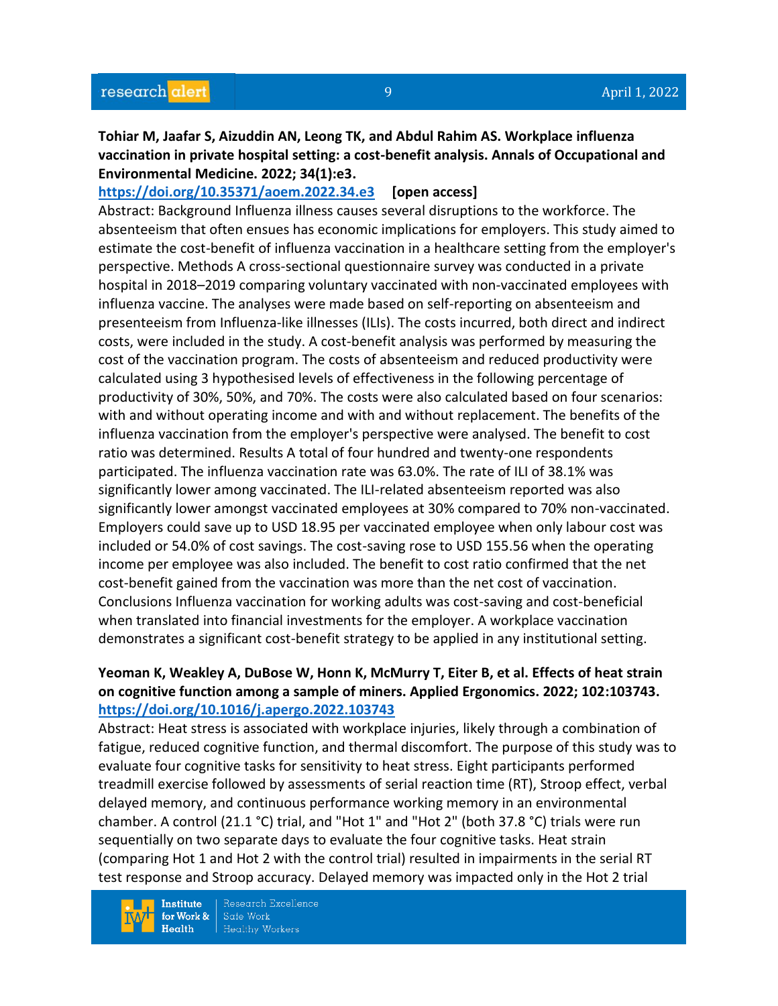**Tohiar M, Jaafar S, Aizuddin AN, Leong TK, and Abdul Rahim AS. Workplace influenza vaccination in private hospital setting: a cost-benefit analysis. Annals of Occupational and Environmental Medicine. 2022; 34(1):e3.**

**<https://doi.org/10.35371/aoem.2022.34.e3> [open access]**

Abstract: Background Influenza illness causes several disruptions to the workforce. The absenteeism that often ensues has economic implications for employers. This study aimed to estimate the cost-benefit of influenza vaccination in a healthcare setting from the employer's perspective. Methods A cross-sectional questionnaire survey was conducted in a private hospital in 2018–2019 comparing voluntary vaccinated with non-vaccinated employees with influenza vaccine. The analyses were made based on self-reporting on absenteeism and presenteeism from Influenza-like illnesses (ILIs). The costs incurred, both direct and indirect costs, were included in the study. A cost-benefit analysis was performed by measuring the cost of the vaccination program. The costs of absenteeism and reduced productivity were calculated using 3 hypothesised levels of effectiveness in the following percentage of productivity of 30%, 50%, and 70%. The costs were also calculated based on four scenarios: with and without operating income and with and without replacement. The benefits of the influenza vaccination from the employer's perspective were analysed. The benefit to cost ratio was determined. Results A total of four hundred and twenty-one respondents participated. The influenza vaccination rate was 63.0%. The rate of ILI of 38.1% was significantly lower among vaccinated. The ILI-related absenteeism reported was also significantly lower amongst vaccinated employees at 30% compared to 70% non-vaccinated. Employers could save up to USD 18.95 per vaccinated employee when only labour cost was included or 54.0% of cost savings. The cost-saving rose to USD 155.56 when the operating income per employee was also included. The benefit to cost ratio confirmed that the net cost-benefit gained from the vaccination was more than the net cost of vaccination. Conclusions Influenza vaccination for working adults was cost-saving and cost-beneficial when translated into financial investments for the employer. A workplace vaccination demonstrates a significant cost-benefit strategy to be applied in any institutional setting.

# **Yeoman K, Weakley A, DuBose W, Honn K, McMurry T, Eiter B, et al. Effects of heat strain on cognitive function among a sample of miners. Applied Ergonomics. 2022; 102:103743. <https://doi.org/10.1016/j.apergo.2022.103743>**

Abstract: Heat stress is associated with workplace injuries, likely through a combination of fatigue, reduced cognitive function, and thermal discomfort. The purpose of this study was to evaluate four cognitive tasks for sensitivity to heat stress. Eight participants performed treadmill exercise followed by assessments of serial reaction time (RT), Stroop effect, verbal delayed memory, and continuous performance working memory in an environmental chamber. A control (21.1 °C) trial, and "Hot 1" and "Hot 2" (both 37.8 °C) trials were run sequentially on two separate days to evaluate the four cognitive tasks. Heat strain (comparing Hot 1 and Hot 2 with the control trial) resulted in impairments in the serial RT test response and Stroop accuracy. Delayed memory was impacted only in the Hot 2 trial

**Institute** for Work &  $Health$